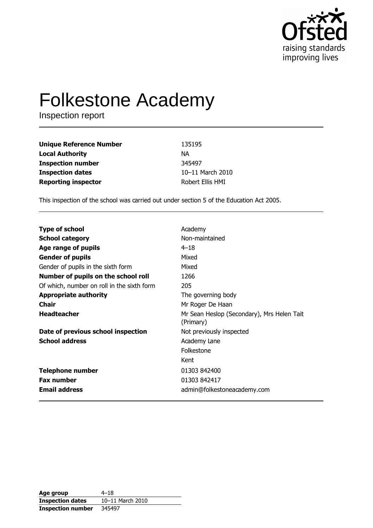

# **Folkestone Academy**

Inspection report

| <b>Unique Reference Number</b> | 135195           |
|--------------------------------|------------------|
| <b>Local Authority</b>         | ΝA               |
| <b>Inspection number</b>       | 345497           |
| <b>Inspection dates</b>        | 10-11 March 2010 |
| <b>Reporting inspector</b>     | Robert Ellis HMI |

This inspection of the school was carried out under section 5 of the Education Act 2005.

| <b>Type of school</b>                      | Academy                                                 |
|--------------------------------------------|---------------------------------------------------------|
| <b>School category</b>                     | Non-maintained                                          |
| Age range of pupils                        | $4 - 18$                                                |
| <b>Gender of pupils</b>                    | Mixed                                                   |
| Gender of pupils in the sixth form         | Mixed                                                   |
| Number of pupils on the school roll        | 1266                                                    |
| Of which, number on roll in the sixth form | 205                                                     |
| <b>Appropriate authority</b>               | The governing body                                      |
| <b>Chair</b>                               | Mr Roger De Haan                                        |
| <b>Headteacher</b>                         | Mr Sean Heslop (Secondary), Mrs Helen Tait<br>(Primary) |
| Date of previous school inspection         | Not previously inspected                                |
| <b>School address</b>                      | Academy Lane                                            |
|                                            | Folkestone                                              |
|                                            | Kent                                                    |
| <b>Telephone number</b>                    | 01303 842400                                            |
| <b>Fax number</b>                          | 01303 842417                                            |
| <b>Email address</b>                       | admin@folkestoneacademy.com                             |

| Age group                | $4 - 18$         |
|--------------------------|------------------|
| <b>Inspection dates</b>  | 10-11 March 2010 |
| <b>Inspection number</b> | 345497           |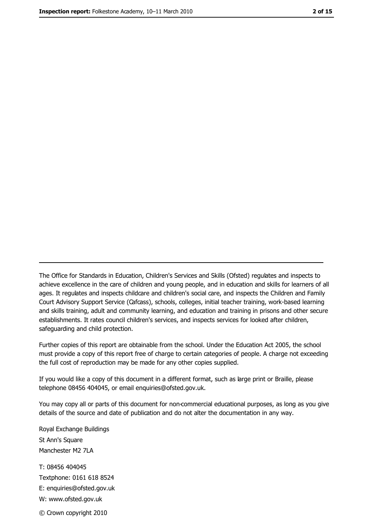The Office for Standards in Education, Children's Services and Skills (Ofsted) regulates and inspects to achieve excellence in the care of children and young people, and in education and skills for learners of all ages. It regulates and inspects childcare and children's social care, and inspects the Children and Family Court Advisory Support Service (Cafcass), schools, colleges, initial teacher training, work-based learning and skills training, adult and community learning, and education and training in prisons and other secure establishments. It rates council children's services, and inspects services for looked after children, safequarding and child protection.

Further copies of this report are obtainable from the school. Under the Education Act 2005, the school must provide a copy of this report free of charge to certain categories of people. A charge not exceeding the full cost of reproduction may be made for any other copies supplied.

If you would like a copy of this document in a different format, such as large print or Braille, please telephone 08456 404045, or email enquiries@ofsted.gov.uk.

You may copy all or parts of this document for non-commercial educational purposes, as long as you give details of the source and date of publication and do not alter the documentation in any way.

Royal Exchange Buildings St Ann's Square Manchester M2 7LA T: 08456 404045 Textphone: 0161 618 8524 E: enquiries@ofsted.gov.uk W: www.ofsted.gov.uk © Crown copyright 2010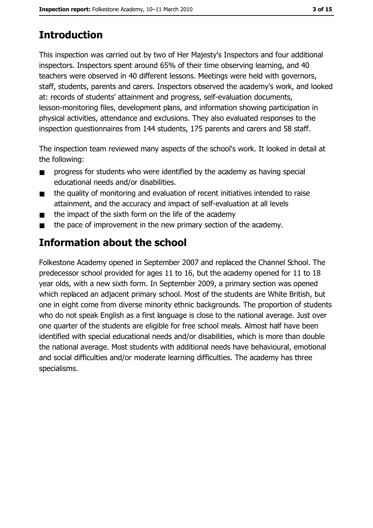# **Introduction**

This inspection was carried out by two of Her Majesty's Inspectors and four additional inspectors. Inspectors spent around 65% of their time observing learning, and 40 teachers were observed in 40 different lessons. Meetings were held with governors, staff, students, parents and carers. Inspectors observed the academy's work, and looked at: records of students' attainment and progress, self-evaluation documents, lesson-monitoring files, development plans, and information showing participation in physical activities, attendance and exclusions. They also evaluated responses to the inspection questionnaires from 144 students, 175 parents and carers and 58 staff.

The inspection team reviewed many aspects of the school's work. It looked in detail at the following:

- progress for students who were identified by the academy as having special  $\blacksquare$ educational needs and/or disabilities.
- the quality of monitoring and evaluation of recent initiatives intended to raise  $\blacksquare$ attainment, and the accuracy and impact of self-evaluation at all levels
- the impact of the sixth form on the life of the academy  $\blacksquare$
- the pace of improvement in the new primary section of the academy.  $\blacksquare$

# **Information about the school**

Folkestone Academy opened in September 2007 and replaced the Channel School. The predecessor school provided for ages 11 to 16, but the academy opened for 11 to 18 year olds, with a new sixth form. In September 2009, a primary section was opened which replaced an adjacent primary school. Most of the students are White British, but one in eight come from diverse minority ethnic backgrounds. The proportion of students who do not speak English as a first language is close to the national average. Just over one quarter of the students are eligible for free school meals. Almost half have been identified with special educational needs and/or disabilities, which is more than double the national average. Most students with additional needs have behavioural, emotional and social difficulties and/or moderate learning difficulties. The academy has three specialisms.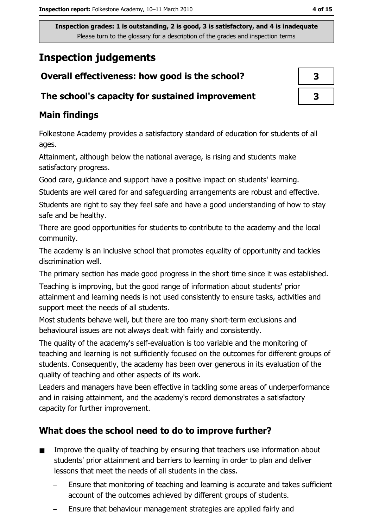## **Inspection judgements**

#### The school's capacity for sustained improvement

## **Main findings**

Folkestone Academy provides a satisfactory standard of education for students of all ages.

Attainment, although below the national average, is rising and students make satisfactory progress.

Good care, guidance and support have a positive impact on students' learning.

Students are well cared for and safeguarding arrangements are robust and effective.

Students are right to say they feel safe and have a good understanding of how to stay safe and be healthy.

There are good opportunities for students to contribute to the academy and the local community.

The academy is an inclusive school that promotes equality of opportunity and tackles discrimination well.

The primary section has made good progress in the short time since it was established.

Teaching is improving, but the good range of information about students' prior attainment and learning needs is not used consistently to ensure tasks, activities and support meet the needs of all students.

Most students behave well, but there are too many short-term exclusions and behavioural issues are not always dealt with fairly and consistently.

The quality of the academy's self-evaluation is too variable and the monitoring of teaching and learning is not sufficiently focused on the outcomes for different groups of students. Consequently, the academy has been over generous in its evaluation of the quality of teaching and other aspects of its work.

Leaders and managers have been effective in tackling some areas of underperformance and in raising attainment, and the academy's record demonstrates a satisfactory capacity for further improvement.

## What does the school need to do to improve further?

- Improve the quality of teaching by ensuring that teachers use information about  $\blacksquare$ students' prior attainment and barriers to learning in order to plan and deliver lessons that meet the needs of all students in the class.
	- Ensure that monitoring of teaching and learning is accurate and takes sufficient account of the outcomes achieved by different groups of students.
	- Ensure that behaviour management strategies are applied fairly and

| 3 |  |
|---|--|
| 3 |  |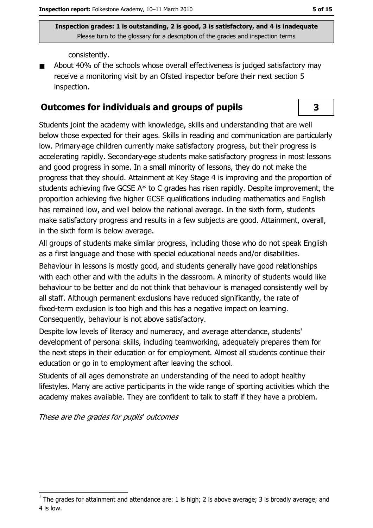consistently.

About 40% of the schools whose overall effectiveness is judged satisfactory may receive a monitoring visit by an Ofsted inspector before their next section 5 inspection.

#### **Outcomes for individuals and groups of pupils**

Students joint the academy with knowledge, skills and understanding that are well below those expected for their ages. Skills in reading and communication are particularly low. Primary-age children currently make satisfactory progress, but their progress is accelerating rapidly. Secondary-age students make satisfactory progress in most lessons and good progress in some. In a small minority of lessons, they do not make the progress that they should. Attainment at Key Stage 4 is improving and the proportion of students achieving five GCSE A\* to C grades has risen rapidly. Despite improvement, the proportion achieving five higher GCSE qualifications including mathematics and English has remained low, and well below the national average. In the sixth form, students make satisfactory progress and results in a few subjects are good. Attainment, overall, in the sixth form is below average.

All groups of students make similar progress, including those who do not speak English as a first language and those with special educational needs and/or disabilities.

Behaviour in lessons is mostly good, and students generally have good relationships with each other and with the adults in the classroom. A minority of students would like behaviour to be better and do not think that behaviour is managed consistently well by all staff. Although permanent exclusions have reduced significantly, the rate of fixed-term exclusion is too high and this has a negative impact on learning. Consequently, behaviour is not above satisfactory.

Despite low levels of literacy and numeracy, and average attendance, students' development of personal skills, including teamworking, adequately prepares them for the next steps in their education or for employment. Almost all students continue their education or go in to employment after leaving the school.

Students of all ages demonstrate an understanding of the need to adopt healthy lifestyles. Many are active participants in the wide range of sporting activities which the academy makes available. They are confident to talk to staff if they have a problem.

These are the grades for pupils' outcomes

3

The grades for attainment and attendance are: 1 is high; 2 is above average; 3 is broadly average; and 4 is low.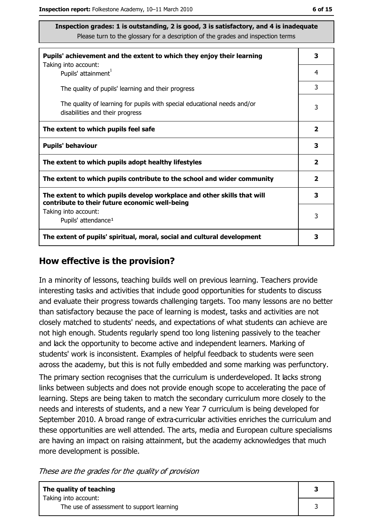| Pupils' achievement and the extent to which they enjoy their learning                                                     |                         |  |  |
|---------------------------------------------------------------------------------------------------------------------------|-------------------------|--|--|
| Taking into account:<br>Pupils' attainment <sup>1</sup>                                                                   |                         |  |  |
| The quality of pupils' learning and their progress                                                                        |                         |  |  |
| The quality of learning for pupils with special educational needs and/or<br>disabilities and their progress               | 3                       |  |  |
| The extent to which pupils feel safe                                                                                      | $\overline{\mathbf{2}}$ |  |  |
| <b>Pupils' behaviour</b>                                                                                                  | 3                       |  |  |
| The extent to which pupils adopt healthy lifestyles                                                                       | $\overline{2}$          |  |  |
| The extent to which pupils contribute to the school and wider community                                                   | $\overline{2}$          |  |  |
| The extent to which pupils develop workplace and other skills that will<br>contribute to their future economic well-being | 3                       |  |  |
| Taking into account:<br>Pupils' attendance <sup>1</sup>                                                                   | 3                       |  |  |
| The extent of pupils' spiritual, moral, social and cultural development                                                   | з                       |  |  |

#### How effective is the provision?

In a minority of lessons, teaching builds well on previous learning. Teachers provide interesting tasks and activities that include good opportunities for students to discuss and evaluate their progress towards challenging targets. Too many lessons are no better than satisfactory because the pace of learning is modest, tasks and activities are not closely matched to students' needs, and expectations of what students can achieve are not high enough. Students regularly spend too long listening passively to the teacher and lack the opportunity to become active and independent learners. Marking of students' work is inconsistent. Examples of helpful feedback to students were seen across the academy, but this is not fully embedded and some marking was perfunctory.

The primary section recognises that the curriculum is underdeveloped. It lacks strong links between subjects and does not provide enough scope to accelerating the pace of learning. Steps are being taken to match the secondary curriculum more closely to the needs and interests of students, and a new Year 7 curriculum is being developed for September 2010. A broad range of extra-curricular activities enriches the curriculum and these opportunities are well attended. The arts, media and European culture specialisms are having an impact on raising attainment, but the academy acknowledges that much more development is possible.

These are the grades for the quality of provision

| The quality of teaching                   |  |
|-------------------------------------------|--|
| Taking into account:                      |  |
| The use of assessment to support learning |  |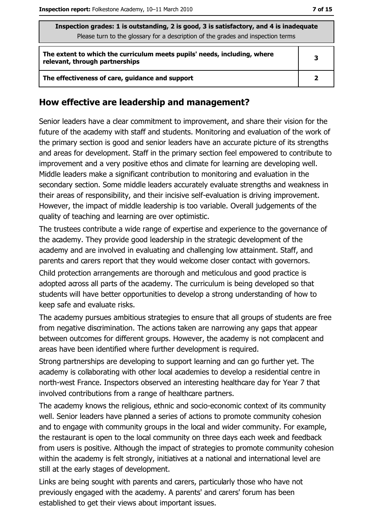| Inspection grades: 1 is outstanding, 2 is good, 3 is satisfactory, and 4 is inadequate<br>Please turn to the glossary for a description of the grades and inspection terms |              |  |  |
|----------------------------------------------------------------------------------------------------------------------------------------------------------------------------|--------------|--|--|
| The extent to which the curriculum meets pupils' needs, including, where<br>relevant, through partnerships                                                                 | 3            |  |  |
| The effectiveness of care, guidance and support                                                                                                                            | $\mathbf{2}$ |  |  |

#### How effective are leadership and management?

Senior leaders have a clear commitment to improvement, and share their vision for the future of the academy with staff and students. Monitoring and evaluation of the work of the primary section is good and senior leaders have an accurate picture of its strengths and areas for development. Staff in the primary section feel empowered to contribute to improvement and a very positive ethos and climate for learning are developing well. Middle leaders make a significant contribution to monitoring and evaluation in the secondary section. Some middle leaders accurately evaluate strengths and weakness in their areas of responsibility, and their incisive self-evaluation is driving improvement. However, the impact of middle leadership is too variable. Overall judgements of the quality of teaching and learning are over optimistic.

The trustees contribute a wide range of expertise and experience to the governance of the academy. They provide good leadership in the strategic development of the academy and are involved in evaluating and challenging low attainment. Staff, and parents and carers report that they would welcome closer contact with governors.

Child protection arrangements are thorough and meticulous and good practice is adopted across all parts of the academy. The curriculum is being developed so that students will have better opportunities to develop a strong understanding of how to keep safe and evaluate risks.

The academy pursues ambitious strategies to ensure that all groups of students are free from negative discrimination. The actions taken are narrowing any gaps that appear between outcomes for different groups. However, the academy is not complacent and areas have been identified where further development is required.

Strong partnerships are developing to support learning and can go further yet. The academy is collaborating with other local academies to develop a residential centre in north-west France. Inspectors observed an interesting healthcare day for Year 7 that involved contributions from a range of healthcare partners.

The academy knows the religious, ethnic and socio-economic context of its community well. Senior leaders have planned a series of actions to promote community cohesion and to engage with community groups in the local and wider community. For example, the restaurant is open to the local community on three days each week and feedback from users is positive. Although the impact of strategies to promote community cohesion within the academy is felt strongly, initiatives at a national and international level are still at the early stages of development.

Links are being sought with parents and carers, particularly those who have not previously engaged with the academy. A parents' and carers' forum has been established to get their views about important issues.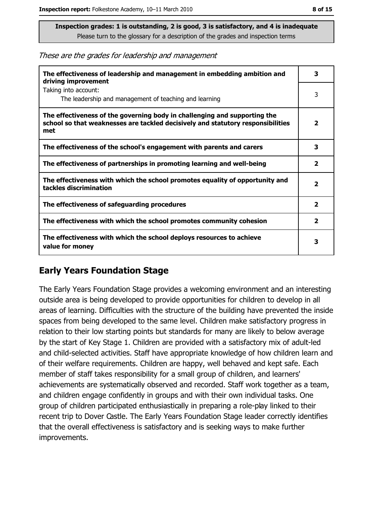These are the grades for leadership and management

| The effectiveness of leadership and management in embedding ambition and<br>driving improvement                                                                     |                         |  |
|---------------------------------------------------------------------------------------------------------------------------------------------------------------------|-------------------------|--|
| Taking into account:<br>The leadership and management of teaching and learning                                                                                      | 3                       |  |
| The effectiveness of the governing body in challenging and supporting the<br>school so that weaknesses are tackled decisively and statutory responsibilities<br>met | $\overline{\mathbf{2}}$ |  |
| The effectiveness of the school's engagement with parents and carers                                                                                                | 3                       |  |
| The effectiveness of partnerships in promoting learning and well-being                                                                                              | $\overline{\mathbf{2}}$ |  |
| The effectiveness with which the school promotes equality of opportunity and<br>tackles discrimination                                                              | $\overline{\mathbf{2}}$ |  |
| The effectiveness of safeguarding procedures                                                                                                                        | $\mathbf{2}$            |  |
| The effectiveness with which the school promotes community cohesion                                                                                                 | $\overline{\mathbf{2}}$ |  |
| The effectiveness with which the school deploys resources to achieve<br>value for money                                                                             | 3                       |  |

#### **Early Years Foundation Stage**

The Early Years Foundation Stage provides a welcoming environment and an interesting outside area is being developed to provide opportunities for children to develop in all areas of learning. Difficulties with the structure of the building have prevented the inside spaces from being developed to the same level. Children make satisfactory progress in relation to their low starting points but standards for many are likely to below average by the start of Key Stage 1. Children are provided with a satisfactory mix of adult-led and child-selected activities. Staff have appropriate knowledge of how children learn and of their welfare requirements. Children are happy, well behaved and kept safe. Each member of staff takes responsibility for a small group of children, and learners' achievements are systematically observed and recorded. Staff work together as a team, and children engage confidently in groups and with their own individual tasks. One group of children participated enthusiastically in preparing a role-play linked to their recent trip to Dover Castle. The Early Years Foundation Stage leader correctly identifies that the overall effectiveness is satisfactory and is seeking ways to make further improvements.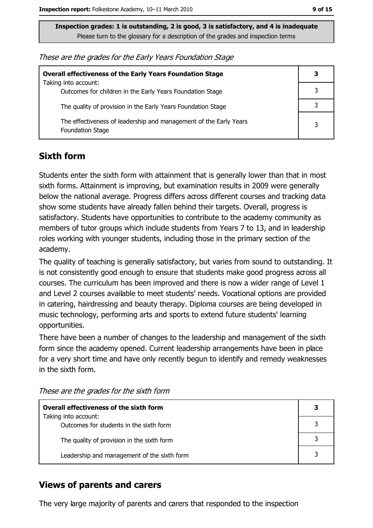These are the grades for the Early Years Foundation Stage

| <b>Overall effectiveness of the Early Years Foundation Stage</b>                             | 3 |
|----------------------------------------------------------------------------------------------|---|
| Taking into account:<br>Outcomes for children in the Early Years Foundation Stage            |   |
| The quality of provision in the Early Years Foundation Stage                                 |   |
| The effectiveness of leadership and management of the Early Years<br><b>Foundation Stage</b> | 3 |

## **Sixth form**

Students enter the sixth form with attainment that is generally lower than that in most sixth forms. Attainment is improving, but examination results in 2009 were generally below the national average. Progress differs agoss different courses and tracking data show some students have already fallen behind their targets. Overall, progress is satisfactory. Students have opportunities to contribute to the academy community as members of tutor groups which include students from Years 7 to 13, and in leadership roles working with younger students, including those in the primary section of the academy.

The quality of teaching is generally satisfactory, but varies from sound to outstanding. It is not consistently good enough to ensure that students make good progress across all courses. The curriculum has been improved and there is now a wider range of Level 1 and Level 2 courses available to meet students' needs. Vocational options are provided in catering, hairdressing and beauty therapy. Diploma courses are being developed in music technology, performing arts and sports to extend future students' learning opportunities.

There have been a number of changes to the leadership and management of the sixth form since the academy opened. Current leadership arrangements have been in place for a very short time and have only recently begun to identify and remedy weaknesses in the sixth form.

| <b>Overall effectiveness of the sixth form</b>                  |  |
|-----------------------------------------------------------------|--|
| Taking into account:<br>Outcomes for students in the sixth form |  |
|                                                                 |  |
| The quality of provision in the sixth form                      |  |
| Leadership and management of the sixth form                     |  |

These are the grades for the sixth form

## **Views of parents and carers**

The very large majority of parents and carers that responded to the inspection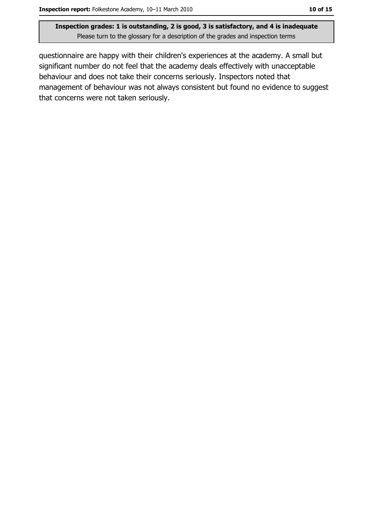questionnaire are happy with their children's experiences at the academy. A small but significant number do not feel that the academy deals effectively with unacceptable behaviour and does not take their concerns seriously. Inspectors noted that management of behaviour was not always consistent but found no evidence to suggest that concerns were not taken seriously.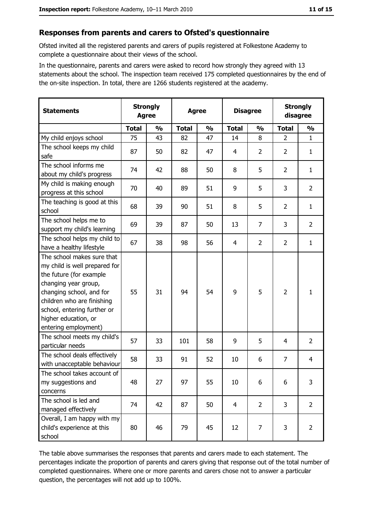#### Responses from parents and carers to Ofsted's questionnaire

Ofsted invited all the registered parents and carers of pupils registered at Folkestone Academy to complete a questionnaire about their views of the school.

In the questionnaire, parents and carers were asked to record how strongly they agreed with 13 statements about the school. The inspection team received 175 completed questionnaires by the end of the on-site inspection. In total, there are 1266 students registered at the academy.

| <b>Statements</b>                                                                                                                                                                                                                                       | <b>Strongly</b><br><b>Agree</b> |               | <b>Agree</b> |               |                | <b>Disagree</b> |                | <b>Strongly</b><br>disagree |
|---------------------------------------------------------------------------------------------------------------------------------------------------------------------------------------------------------------------------------------------------------|---------------------------------|---------------|--------------|---------------|----------------|-----------------|----------------|-----------------------------|
|                                                                                                                                                                                                                                                         | <b>Total</b>                    | $\frac{0}{0}$ | <b>Total</b> | $\frac{0}{0}$ | <b>Total</b>   | $\frac{0}{0}$   | <b>Total</b>   | $\frac{0}{0}$               |
| My child enjoys school                                                                                                                                                                                                                                  | 75                              | 43            | 82           | 47            | 14             | 8               | $\overline{2}$ | $\mathbf{1}$                |
| The school keeps my child<br>safe                                                                                                                                                                                                                       | 87                              | 50            | 82           | 47            | 4              | $\overline{2}$  | $\overline{2}$ | $\mathbf{1}$                |
| The school informs me<br>about my child's progress                                                                                                                                                                                                      | 74                              | 42            | 88           | 50            | 8              | 5               | $\overline{2}$ | $\mathbf{1}$                |
| My child is making enough<br>progress at this school                                                                                                                                                                                                    | 70                              | 40            | 89           | 51            | 9              | 5               | 3              | $\overline{2}$              |
| The teaching is good at this<br>school                                                                                                                                                                                                                  | 68                              | 39            | 90           | 51            | 8              | 5               | 2              | $\mathbf{1}$                |
| The school helps me to<br>support my child's learning                                                                                                                                                                                                   | 69                              | 39            | 87           | 50            | 13             | $\overline{7}$  | 3              | $\overline{2}$              |
| The school helps my child to<br>have a healthy lifestyle                                                                                                                                                                                                | 67                              | 38            | 98           | 56            | 4              | $\overline{2}$  | $\overline{2}$ | $\mathbf{1}$                |
| The school makes sure that<br>my child is well prepared for<br>the future (for example<br>changing year group,<br>changing school, and for<br>children who are finishing<br>school, entering further or<br>higher education, or<br>entering employment) | 55                              | 31            | 94           | 54            | 9              | 5               | $\overline{2}$ | $\mathbf{1}$                |
| The school meets my child's<br>particular needs                                                                                                                                                                                                         | 57                              | 33            | 101          | 58            | 9              | 5               | 4              | $\overline{2}$              |
| The school deals effectively<br>with unacceptable behaviour                                                                                                                                                                                             | 58                              | 33            | 91           | 52            | 10             | 6               | 7              | 4                           |
| The school takes account of<br>my suggestions and<br>concerns                                                                                                                                                                                           | 48                              | 27            | 97           | 55            | 10             | 6               | 6              | 3                           |
| The school is led and<br>managed effectively                                                                                                                                                                                                            | 74                              | 42            | 87           | 50            | $\overline{4}$ | $\overline{2}$  | 3              | $\overline{2}$              |
| Overall, I am happy with my<br>child's experience at this<br>school                                                                                                                                                                                     | 80                              | 46            | 79           | 45            | 12             | 7               | 3              | $\overline{2}$              |

The table above summarises the responses that parents and carers made to each statement. The percentages indicate the proportion of parents and carers giving that response out of the total number of completed questionnaires. Where one or more parents and carers chose not to answer a particular question, the percentages will not add up to 100%.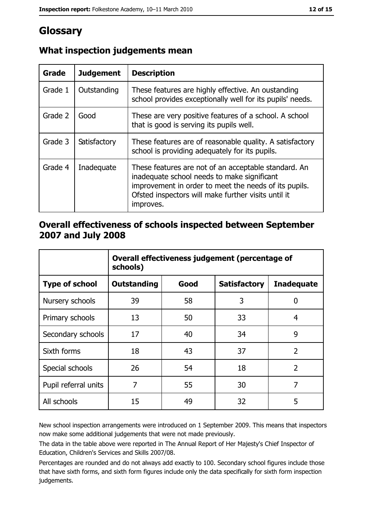# Glossary

| Grade   | <b>Judgement</b> | <b>Description</b>                                                                                                                                                                                                               |  |
|---------|------------------|----------------------------------------------------------------------------------------------------------------------------------------------------------------------------------------------------------------------------------|--|
| Grade 1 | Outstanding      | These features are highly effective. An oustanding<br>school provides exceptionally well for its pupils' needs.                                                                                                                  |  |
| Grade 2 | Good             | These are very positive features of a school. A school<br>that is good is serving its pupils well.                                                                                                                               |  |
| Grade 3 | Satisfactory     | These features are of reasonable quality. A satisfactory<br>school is providing adequately for its pupils.                                                                                                                       |  |
| Grade 4 | Inadequate       | These features are not of an acceptable standard. An<br>inadequate school needs to make significant<br>improvement in order to meet the needs of its pupils.<br>Ofsted inspectors will make further visits until it<br>improves. |  |

## What inspection judgements mean

#### Overall effectiveness of schools inspected between September 2007 and July 2008

|                       | Overall effectiveness judgement (percentage of<br>schools) |      |                     |                   |
|-----------------------|------------------------------------------------------------|------|---------------------|-------------------|
| <b>Type of school</b> | <b>Outstanding</b>                                         | Good | <b>Satisfactory</b> | <b>Inadequate</b> |
| Nursery schools       | 39                                                         | 58   | 3                   | 0                 |
| Primary schools       | 13                                                         | 50   | 33                  | 4                 |
| Secondary schools     | 17                                                         | 40   | 34                  | 9                 |
| Sixth forms           | 18                                                         | 43   | 37                  | $\overline{2}$    |
| Special schools       | 26                                                         | 54   | 18                  | $\overline{2}$    |
| Pupil referral units  | 7                                                          | 55   | 30                  | 7                 |
| All schools           | 15                                                         | 49   | 32                  | 5                 |

New school inspection arrangements were introduced on 1 September 2009. This means that inspectors now make some additional judgements that were not made previously.

The data in the table above were reported in The Annual Report of Her Majesty's Chief Inspector of Education, Children's Services and Skills 2007/08.

Percentages are rounded and do not always add exactly to 100. Secondary school figures include those that have sixth forms, and sixth form figures include only the data specifically for sixth form inspection judgements.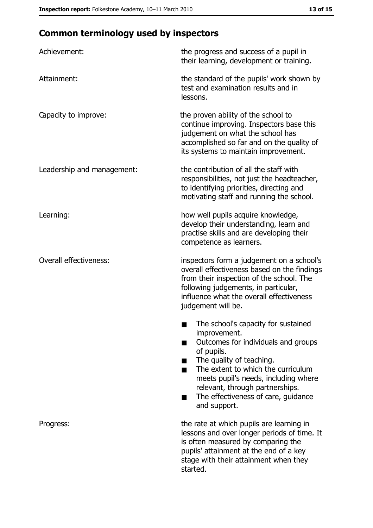# **Common terminology used by inspectors**

| Achievement:                  | the progress and success of a pupil in<br>their learning, development or training.                                                                                                                                                                                                                           |  |  |
|-------------------------------|--------------------------------------------------------------------------------------------------------------------------------------------------------------------------------------------------------------------------------------------------------------------------------------------------------------|--|--|
| Attainment:                   | the standard of the pupils' work shown by<br>test and examination results and in<br>lessons.                                                                                                                                                                                                                 |  |  |
| Capacity to improve:          | the proven ability of the school to<br>continue improving. Inspectors base this<br>judgement on what the school has<br>accomplished so far and on the quality of<br>its systems to maintain improvement.                                                                                                     |  |  |
| Leadership and management:    | the contribution of all the staff with<br>responsibilities, not just the headteacher,<br>to identifying priorities, directing and<br>motivating staff and running the school.                                                                                                                                |  |  |
| Learning:                     | how well pupils acquire knowledge,<br>develop their understanding, learn and<br>practise skills and are developing their<br>competence as learners.                                                                                                                                                          |  |  |
| <b>Overall effectiveness:</b> | inspectors form a judgement on a school's<br>overall effectiveness based on the findings<br>from their inspection of the school. The<br>following judgements, in particular,<br>influence what the overall effectiveness<br>judgement will be.                                                               |  |  |
|                               | The school's capacity for sustained<br>improvement.<br>Outcomes for individuals and groups<br>of pupils.<br>The quality of teaching.<br>The extent to which the curriculum<br>meets pupil's needs, including where<br>relevant, through partnerships.<br>The effectiveness of care, guidance<br>and support. |  |  |
| Progress:                     | the rate at which pupils are learning in<br>lessons and over longer periods of time. It<br>is often measured by comparing the<br>pupils' attainment at the end of a key<br>stage with their attainment when they<br>started.                                                                                 |  |  |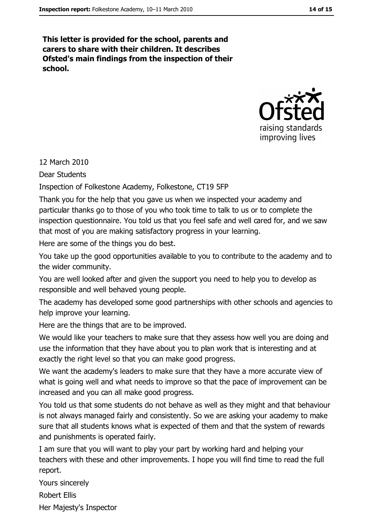This letter is provided for the school, parents and carers to share with their children. It describes Ofsted's main findings from the inspection of their school.



12 March 2010

Dear Students

Inspection of Folkestone Academy, Folkestone, CT19 5FP

Thank you for the help that you gave us when we inspected your academy and particular thanks go to those of you who took time to talk to us or to complete the inspection questionnaire. You told us that you feel safe and well cared for, and we saw that most of you are making satisfactory progress in your learning.

Here are some of the things you do best.

You take up the good opportunities available to you to contribute to the academy and to the wider community.

You are well looked after and given the support you need to help you to develop as responsible and well behaved young people.

The academy has developed some good partnerships with other schools and agencies to help improve your learning.

Here are the things that are to be improved.

We would like vour teachers to make sure that they assess how well you are doing and use the information that they have about you to plan work that is interesting and at exactly the right level so that you can make good progress.

We want the academy's leaders to make sure that they have a more accurate view of what is going well and what needs to improve so that the pace of improvement can be increased and you can all make good progress.

You told us that some students do not behave as well as they might and that behaviour is not always managed fairly and consistently. So we are asking your academy to make sure that all students knows what is expected of them and that the system of rewards and punishments is operated fairly.

I am sure that you will want to play your part by working hard and helping your teachers with these and other improvements. I hope you will find time to read the full report.

Yours sincerely

**Robert Ellis** 

Her Majesty's Inspector